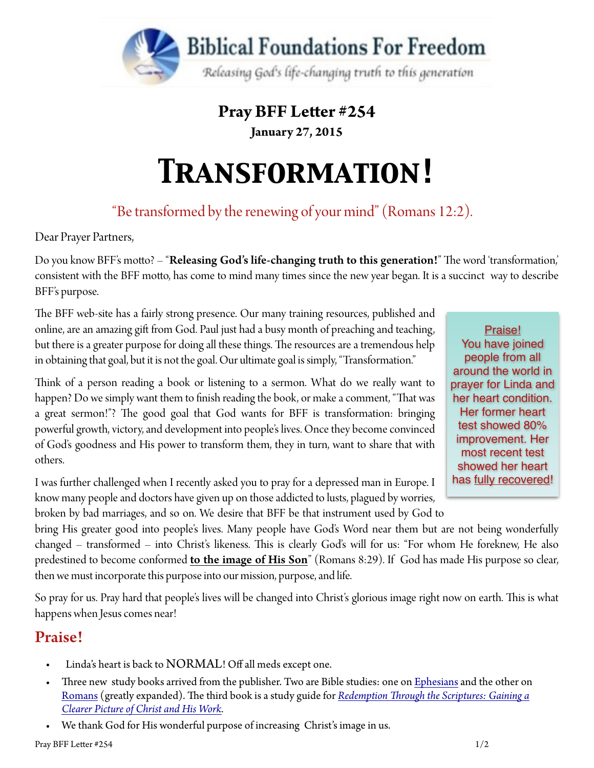

### **Pray BFF Leter #254**

**January 27, 2015** 

# *Transformation!*

## "Be transformed by the renewing of your mind" (Romans 12:2).

Dear Prayer Partners,

Do you know BFF's motto? – "Releasing God's life-changing truth to this generation!" The word 'transformation, consistent with the BFF moto, has come to mind many times since the new year began. It is a succinct way to describe BFF's purpose.

The BFF web-site has a fairly strong presence. Our many training resources, published and online, are an amazing gif from God. Paul just had a busy month of preaching and teaching, but there is a greater purpose for doing all these things. The resources are a tremendous help in obtaining that goal, but it is not the goal. Our ultimate goal is simply, "Transformation."

Think of a person reading a book or listening to a sermon. What do we really want to happen? Do we simply want them to finish reading the book, or make a comment, "That was a great sermon!"? The good goal that God wants for BFF is transformation: bringing powerful growth, victory, and development into people's lives. Once they become convinced of God's goodness and His power to transform them, they in turn, want to share that with others.

I was further challenged when I recently asked you to pray for a depressed man in Europe. I know many people and doctors have given up on those addicted to lusts, plagued by worries,

Praise! You have joined people from all around the world in prayer for Linda and her heart condition. Her former heart test showed 80% improvement. Her most recent test showed her heart has fully recovered!

broken by bad marriages, and so on. We desire that BFF be that instrument used by God to bring His greater good into people's lives. Many people have God's Word near them but are not being wonderfully changed – transformed – into Christ's likeness. This is clearly God's will for us: "For whom He foreknew, He also predestined to become conformed **to the image of His Son**" (Romans 8:29). If God has made His purpose so clear, then we must incorporate this purpose into our mission, purpose, and life.

So pray for us. Pray hard that people's lives will be changed into Christ's glorious image right now on earth. This is what happens when Jesus comes near!

#### Praise!

- Linda's heart is back to NORMAL! Off all meds except one.
- Three new study books arrived from the publisher. Two are Bible studies: one on [Ephesians](http://www.foundationsforfreedom.net/Help/Store/Intros/Ephesians_Studies.html) and the other on [Romans](http://www.foundationsforfreedom.net/Help/Store/Intros/Romans_Questions.html) (greatly expanded). The third book is a study guide for *Redemption Through the Scriptures: Gaining a [Clearer Picture of Christ and His Work.](http://www.foundationsforfreedom.net/Help/Store/Intros/Redemption-RTS.html)*
- We thank God for His wonderful purpose of increasing Christ's image in us.